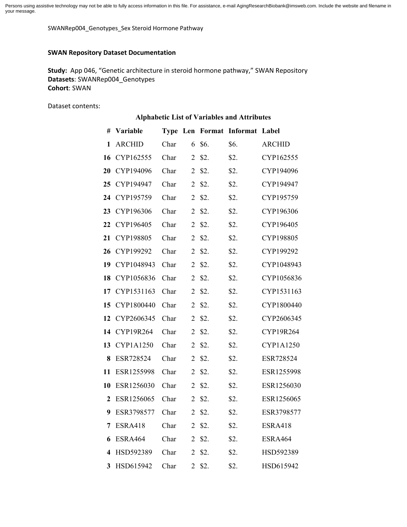Persons using assistive technology may not be able to fully access information in this file. For assistance, e-mail AgingResearchBiobank@imsweb.com. Include the website and filename in your message.

SWANRep004\_Genotypes\_Sex Steroid Hormone Pathway

#### **SWAN Repository Dataset Documentation**

**Study:** App 046, "Genetic architecture in steroid hormone pathway," SWAN Repository **Datasets**: SWANRep004\_Genotypes **Cohort**: SWAN

Dataset contents:

| <b>Alphabetic List of Variables and Attributes</b> |                   |      |                |        |                                |                |  |  |  |  |
|----------------------------------------------------|-------------------|------|----------------|--------|--------------------------------|----------------|--|--|--|--|
| #                                                  | Variable          |      |                |        | Type Len Format Informat Label |                |  |  |  |  |
| 1                                                  | <b>ARCHID</b>     | Char | 6              | \$6.   | \$6.                           | <b>ARCHID</b>  |  |  |  |  |
| 16                                                 | CYP162555         | Char | 2              | \$2.   | \$2.                           | CYP162555      |  |  |  |  |
| 20                                                 | CYP194096         | Char | $\overline{2}$ | \$2.   | \$2.                           | CYP194096      |  |  |  |  |
| 25                                                 | CYP194947         | Char | $\overline{2}$ | \$2.   | \$2.                           | CYP194947      |  |  |  |  |
| 24                                                 | CYP195759         | Char | $\overline{2}$ | \$2.   | \$2.                           | CYP195759      |  |  |  |  |
| 23                                                 | CYP196306         | Char | 2              | \$2.   | \$2.                           | CYP196306      |  |  |  |  |
| 22                                                 | CYP196405         | Char | $\overline{2}$ | \$2.   | \$2.                           | CYP196405      |  |  |  |  |
| 21                                                 | CYP198805         | Char | $\overline{2}$ | \$2.   | \$2.                           | CYP198805      |  |  |  |  |
| 26                                                 | CYP199292         | Char | $\overline{2}$ | \$2.   | \$2.                           | CYP199292      |  |  |  |  |
| 19                                                 | CYP1048943        | Char | $\overline{2}$ | \$2.   | \$2.                           | CYP1048943     |  |  |  |  |
| 18                                                 | CYP1056836        | Char | $\overline{2}$ | \$2.   | \$2.                           | CYP1056836     |  |  |  |  |
| 17                                                 | CYP1531163        | Char | $\overline{2}$ | \$2.   | \$2.                           | CYP1531163     |  |  |  |  |
| 15                                                 | CYP1800440        | Char | 2              | \$2.   | \$2.                           | CYP1800440     |  |  |  |  |
| 12                                                 | CYP2606345        | Char | $\overline{2}$ | \$2.   | \$2.                           | CYP2606345     |  |  |  |  |
| 14                                                 | CYP19R264         | Char | $\overline{2}$ | \$2.   | \$2.                           | CYP19R264      |  |  |  |  |
| 13                                                 | CYP1A1250         | Char | $\overline{2}$ | \$2.   | \$2.                           | CYP1A1250      |  |  |  |  |
| 8                                                  | ESR728524         | Char | $\overline{2}$ | \$2.   | \$2.                           | ESR728524      |  |  |  |  |
| 11                                                 | ESR1255998        | Char | 2              | \$2.   | \$2.                           | ESR1255998     |  |  |  |  |
| 10                                                 | ESR1256030        | Char | $\overline{2}$ | \$2.   | \$2.                           | ESR1256030     |  |  |  |  |
| $\mathbf{2}$                                       | ESR1256065        | Char | $\overline{2}$ | \$2.   | \$2.                           | ESR1256065     |  |  |  |  |
|                                                    | 9 ESR3798577 Char |      |                | 2 \$2. | \$2.                           | ESR3798577     |  |  |  |  |
| 7                                                  | <b>ESRA418</b>    | Char |                | 2 \$2. | \$2.                           | <b>ESRA418</b> |  |  |  |  |
| 6                                                  | ESRA464           | Char |                | 2 \$2. | \$2.                           | ESRA464        |  |  |  |  |
|                                                    | 4 HSD592389       | Char |                | 2 \$2. | \$2.                           | HSD592389      |  |  |  |  |
| 3 <sup>1</sup>                                     | HSD615942         | Char |                | 2 \$2. | \$2.                           | HSD615942      |  |  |  |  |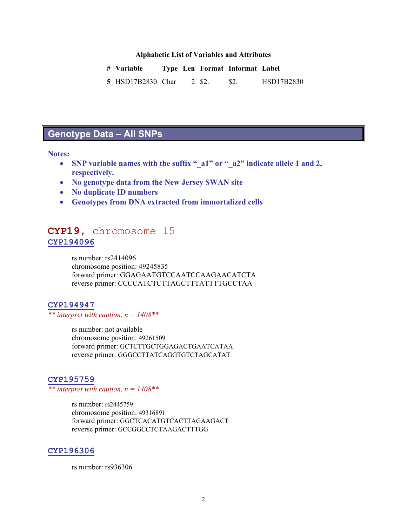### **Alphabetic List of Variables and Attributes**

| # Variable        |  |        | Type Len Format Informat Label |            |
|-------------------|--|--------|--------------------------------|------------|
| 5 HSD17B2830 Char |  | 2 \$2. | - S2.                          | HSD17B2830 |

# **Genotype Data – All SNPs**

#### **Notes:**

- **SNP variable names with the suffix "\_a1" or "\_a2" indicate allele 1 and 2, respectively.**
- **No genotype data from the New Jersey SWAN site**
- **No duplicate ID numbers**
- **Genotypes from DNA extracted from immortalized cells**

## **CYP19,** chromosome 15 **CYP194096**

rs number: rs2414096 chromosome position: 49245835 forward primer: GGAGAATGTCCAATCCAAGAACATCTA reverse primer: CCCCATCTCTTAGCTTTATTTTGCCTAA

## **CYP194947**

#### *\*\* interpret with caution, n = 1408\*\**

rs number: not available chromosome position: 49261509 forward primer: GCTCTTGCTGGAGACTGAATCATAA reverse primer: GGGCCTTATCAGGTGTCTAGCATAT

#### **CYP195759**

*\*\* interpret with caution, n = 1408\*\**

rs number: rs2445759 chromosome position: 49316891 forward primer: GGCTCACATGTCACTTAGAAGACT reverse primer: GCCGGCCTCTAAGACTTTGG

#### **CYP196306**

rs number: rs936306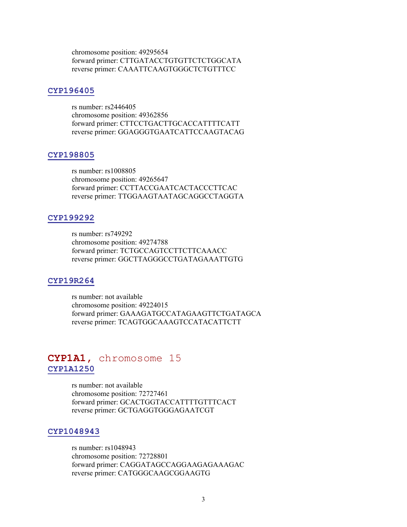chromosome position: 49295654 forward primer: CTTGATACCTGTGTTCTCTGGCATA reverse primer: CAAATTCAAGTGGGCTCTGTTTCC

## **CYP196405**

rs number: rs2446405 chromosome position: 49362856 forward primer: CTTCCTGACTTGCACCATTTTCATT reverse primer: GGAGGGTGAATCATTCCAAGTACAG

#### **CYP198805**

rs number: rs1008805 chromosome position: 49265647 forward primer: CCTTACCGAATCACTACCCTTCAC reverse primer: TTGGAAGTAATAGCAGGCCTAGGTA

#### **CYP199292**

rs number: rs749292 chromosome position: 49274788 forward primer: TCTGCCAGTCCTTCTTCAAACC reverse primer: GGCTTAGGGCCTGATAGAAATTGTG

#### **CYP19R264**

rs number: not available chromosome position: 49224015 forward primer: GAAAGATGCCATAGAAGTTCTGATAGCA reverse primer: TCAGTGGCAAAGTCCATACATTCTT

## **CYP1A1,** chromosome 15 **CYP1A1250**

rs number: not available chromosome position: 72727461 forward primer: GCACTGGTACCATTTTGTTTCACT reverse primer: GCTGAGGTGGGAGAATCGT

## **CYP1048943**

rs number: rs1048943 chromosome position: 72728801 forward primer: CAGGATAGCCAGGAAGAGAAAGAC reverse primer: CATGGGCAAGCGGAAGTG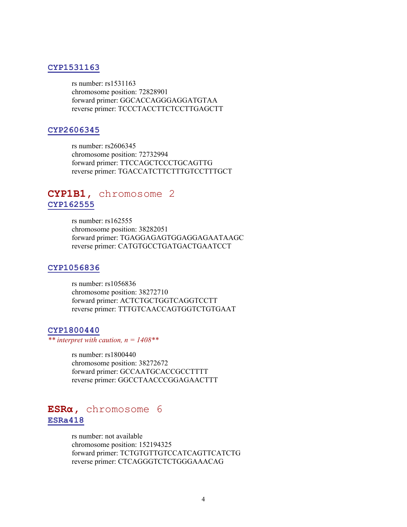## **CYP1531163**

rs number: rs1531163 chromosome position: 72828901 forward primer: GGCACCAGGGAGGATGTAA reverse primer: TCCCTACCTTCTCCTTGAGCTT

#### **CYP2606345**

rs number: rs2606345 chromosome position: 72732994 forward primer: TTCCAGCTCCCTGCAGTTG reverse primer: TGACCATCTTCTTTGTCCTTTGCT

## **CYP1B1,** chromosome 2 **CYP162555**

rs number: rs162555 chromosome position: 38282051 forward primer: TGAGGAGAGTGGAGGAGAATAAGC reverse primer: CATGTGCCTGATGACTGAATCCT

## **CYP1056836**

rs number: rs1056836 chromosome position: 38272710 forward primer: ACTCTGCTGGTCAGGTCCTT reverse primer: TTTGTCAACCAGTGGTCTGTGAAT

#### **CYP1800440**

*\*\* interpret with caution, n = 1408\*\**

rs number: rs1800440 chromosome position: 38272672 forward primer: GCCAATGCACCGCCTTTT reverse primer: GGCCTAACCCGGAGAACTTT

## **ESRα,** chromosome 6 **ESRa418**

rs number: not available chromosome position: 152194325 forward primer: TCTGTGTTGTCCATCAGTTCATCTG reverse primer: CTCAGGGTCTCTGGGAAACAG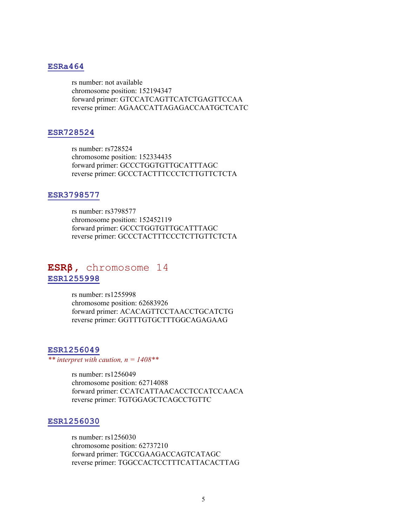### **ESRa464**

rs number: not available chromosome position: 152194347 forward primer: GTCCATCAGTTCATCTGAGTTCCAA reverse primer: AGAACCATTAGAGACCAATGCTCATC

### **ESR728524**

rs number: rs728524 chromosome position: 152334435 forward primer: GCCCTGGTGTTGCATTTAGC reverse primer: GCCCTACTTTCCCTCTTGTTCTCTA

#### **ESR3798577**

rs number: rs3798577 chromosome position: 152452119 forward primer: GCCCTGGTGTTGCATTTAGC reverse primer: GCCCTACTTTCCCTCTTGTTCTCTA

## **ESRβ,** chromosome 14 **ESR1255998**

rs number: rs1255998 chromosome position: 62683926 forward primer: ACACAGTTCCTAACCTGCATCTG reverse primer: GGTTTGTGCTTTGGCAGAGAAG

## **ESR1256049**

*\*\* interpret with caution, n = 1408\*\**

rs number: rs1256049 chromosome position: 62714088 forward primer: CCATCATTAACACCTCCATCCAACA reverse primer: TGTGGAGCTCAGCCTGTTC

#### **ESR1256030**

rs number: rs1256030 chromosome position: 62737210 forward primer: TGCCGAAGACCAGTCATAGC reverse primer: TGGCCACTCCTTTCATTACACTTAG